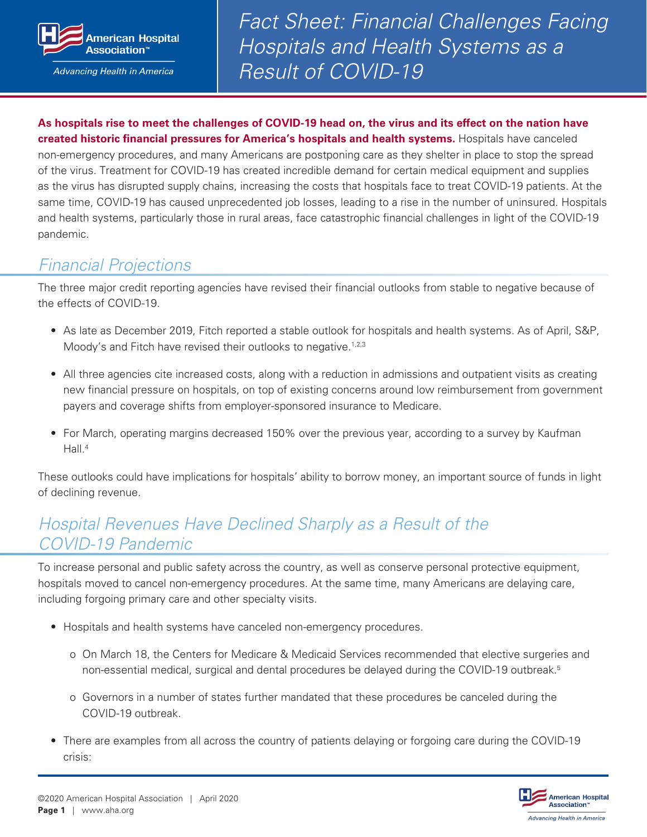

**Advancing Health in America** 

*Fact Sheet: Financial Challenges Facing Hospitals and Health Systems as a Result of COVID-19*

**As hospitals rise to meet the challenges of COVID-19 head on, the virus and its effect on the nation have created historic financial pressures for America's hospitals and health systems.** Hospitals have canceled non-emergency procedures, and many Americans are postponing care as they shelter in place to stop the spread of the virus. Treatment for COVID-19 has created incredible demand for certain medical equipment and supplies as the virus has disrupted supply chains, increasing the costs that hospitals face to treat COVID-19 patients. At the same time, COVID-19 has caused unprecedented job losses, leading to a rise in the number of uninsured. Hospitals and health systems, particularly those in rural areas, face catastrophic financial challenges in light of the COVID-19 pandemic.

### *Financial Projections*

The three major credit reporting agencies have revised their financial outlooks from stable to negative because of the effects of COVID-19.

- As late as December 2019, Fitch reported a stable outlook for hospitals and health systems. As of April, S&P, Moody's and Fitch have revised their outlooks to negative.<sup>1,2,3</sup>
- All three agencies cite increased costs, along with a reduction in admissions and outpatient visits as creating new financial pressure on hospitals, on top of existing concerns around low reimbursement from government payers and coverage shifts from employer-sponsored insurance to Medicare.
- For March, operating margins decreased 150% over the previous year, according to a survey by Kaufman Hall.<sup>4</sup>

These outlooks could have implications for hospitals' ability to borrow money, an important source of funds in light of declining revenue.

# *Hospital Revenues Have Declined Sharply as a Result of the COVID-19 Pandemic*

To increase personal and public safety across the country, as well as conserve personal protective equipment, hospitals moved to cancel non-emergency procedures. At the same time, many Americans are delaying care, including forgoing primary care and other specialty visits.

- Hospitals and health systems have canceled non-emergency procedures.
	- o On March 18, the Centers for Medicare & Medicaid Services recommended that elective surgeries and non-essential medical, surgical and dental procedures be delayed during the COVID-19 outbreak.5
	- o Governors in a number of states further mandated that these procedures be canceled during the COVID-19 outbreak.
- There are examples from all across the country of patients delaying or forgoing care during the COVID-19 crisis:

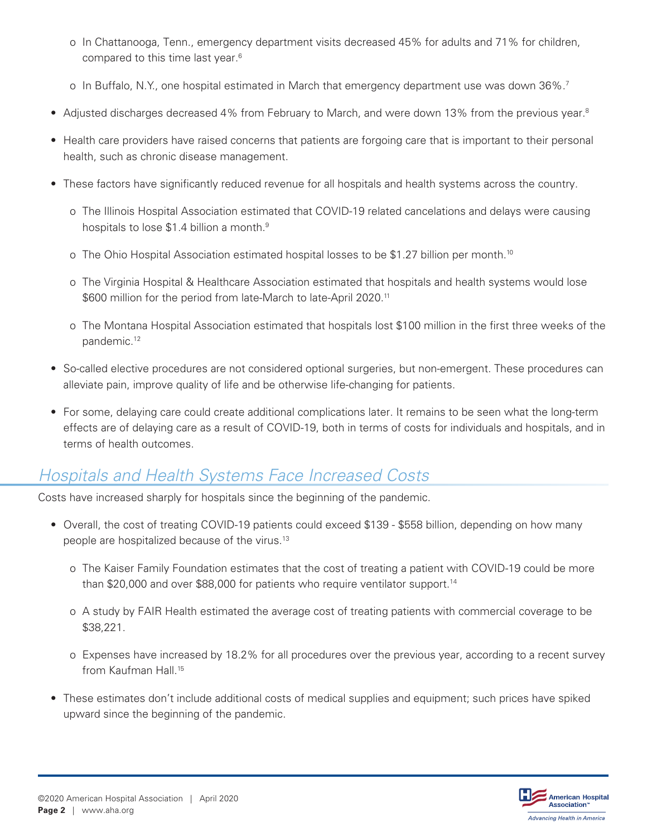- o In Chattanooga, Tenn., emergency department visits decreased 45% for adults and 71% for children, compared to this time last year.<sup>6</sup>
- o In Buffalo, N.Y., one hospital estimated in March that emergency department use was down 36%.7
- Adjusted discharges decreased 4% from February to March, and were down 13% from the previous year.<sup>8</sup>
- Health care providers have raised concerns that patients are forgoing care that is important to their personal health, such as chronic disease management.
- These factors have significantly reduced revenue for all hospitals and health systems across the country.
	- o The Illinois Hospital Association estimated that COVID-19 related cancelations and delays were causing hospitals to lose \$1.4 billion a month.<sup>9</sup>
	- o The Ohio Hospital Association estimated hospital losses to be \$1.27 billion per month.<sup>10</sup>
	- o The Virginia Hospital & Healthcare Association estimated that hospitals and health systems would lose \$600 million for the period from late-March to late-April 2020.<sup>11</sup>
	- o The Montana Hospital Association estimated that hospitals lost \$100 million in the first three weeks of the pandemic.12
- So-called elective procedures are not considered optional surgeries, but non-emergent. These procedures can alleviate pain, improve quality of life and be otherwise life-changing for patients.
- For some, delaying care could create additional complications later. It remains to be seen what the long-term effects are of delaying care as a result of COVID-19, both in terms of costs for individuals and hospitals, and in terms of health outcomes.

# *Hospitals and Health Systems Face Increased Costs*

Costs have increased sharply for hospitals since the beginning of the pandemic.

- Overall, the cost of treating COVID-19 patients could exceed \$139 \$558 billion, depending on how many people are hospitalized because of the virus.13
	- o The Kaiser Family Foundation estimates that the cost of treating a patient with COVID-19 could be more than \$20,000 and over \$88,000 for patients who require ventilator support.<sup>14</sup>
	- o A study by FAIR Health estimated the average cost of treating patients with commercial coverage to be \$38,221.
	- o Expenses have increased by 18.2% for all procedures over the previous year, according to a recent survey from Kaufman Hall.15
- These estimates don't include additional costs of medical supplies and equipment; such prices have spiked upward since the beginning of the pandemic.

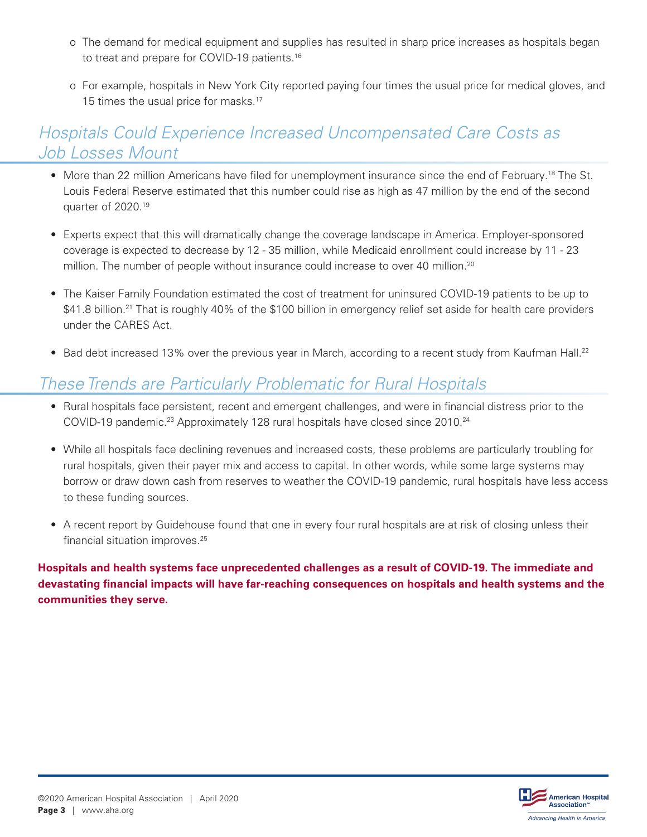- o The demand for medical equipment and supplies has resulted in sharp price increases as hospitals began to treat and prepare for COVID-19 patients.<sup>16</sup>
- o For example, hospitals in New York City reported paying four times the usual price for medical gloves, and 15 times the usual price for masks.<sup>17</sup>

## *Hospitals Could Experience Increased Uncompensated Care Costs as Job Losses Mount*

- More than 22 million Americans have filed for unemployment insurance since the end of February.18 The St. Louis Federal Reserve estimated that this number could rise as high as 47 million by the end of the second quarter of 2020.19
- Experts expect that this will dramatically change the coverage landscape in America. Employer-sponsored coverage is expected to decrease by 12 - 35 million, while Medicaid enrollment could increase by 11 - 23 million. The number of people without insurance could increase to over 40 million.<sup>20</sup>
- The Kaiser Family Foundation estimated the cost of treatment for uninsured COVID-19 patients to be up to \$41.8 billion.<sup>21</sup> That is roughly 40% of the \$100 billion in emergency relief set aside for health care providers under the CARES Act.
- Bad debt increased 13% over the previous year in March, according to a recent study from Kaufman Hall.<sup>22</sup>

# *These Trends are Particularly Problematic for Rural Hospitals*

- Rural hospitals face persistent, recent and emergent challenges, and were in financial distress prior to the COVID-19 pandemic.<sup>23</sup> Approximately 128 rural hospitals have closed since 2010.<sup>24</sup>
- While all hospitals face declining revenues and increased costs, these problems are particularly troubling for rural hospitals, given their payer mix and access to capital. In other words, while some large systems may borrow or draw down cash from reserves to weather the COVID-19 pandemic, rural hospitals have less access to these funding sources.
- A recent report by Guidehouse found that one in every four rural hospitals are at risk of closing unless their financial situation improves.<sup>25</sup>

**Hospitals and health systems face unprecedented challenges as a result of COVID-19. The immediate and devastating financial impacts will have far-reaching consequences on hospitals and health systems and the communities they serve.**